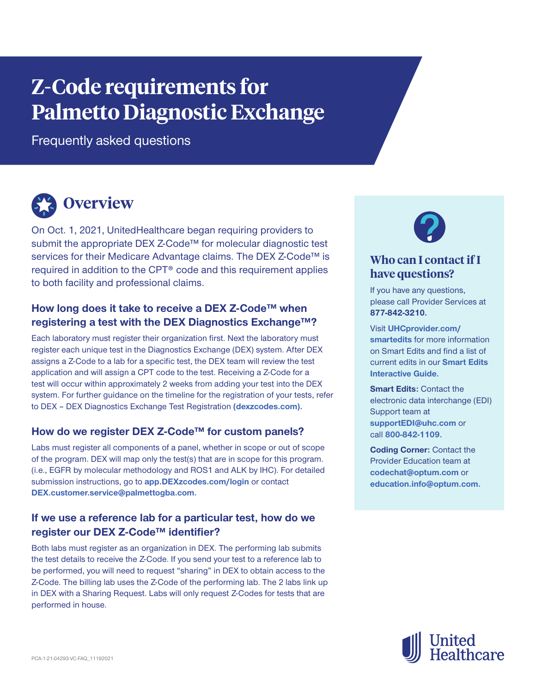# **Z-Code requirements for Palmetto Diagnostic Exchange**

Frequently asked questions



On Oct. 1, 2021, UnitedHealthcare began requiring providers to submit the appropriate DEX Z-Code™ for molecular diagnostic test services for their Medicare Advantage claims. The DEX Z-Code™ is required in addition to the CPT® code and this requirement applies to both facility and professional claims.

#### **How long does it take to receive a DEX Z-Code™ when registering a test with the DEX Diagnostics Exchange™?**

Each laboratory must register their organization first. Next the laboratory must register each unique test in the Diagnostics Exchange (DEX) system. After DEX assigns a Z-Code to a lab for a specific test, the DEX team will review the test application and will assign a CPT code to the test. Receiving a Z-Code for a test will occur within approximately 2 weeks from adding your test into the DEX system. For further guidance on the timeline for the registration of your tests, refer to DEX – DEX Diagnostics Exchange Test Registration **(dexzcodes.com).**

#### **How do we register DEX Z-Code™ for custom panels?**

Labs must register all components of a panel, whether in scope or out of scope of the program. DEX will map only the test(s) that are in scope for this program. (i.e., EGFR by molecular methodology and ROS1 and ALK by IHC). For detailed submission instructions, go to **app.DEXzcodes.com/login** or contact **DEX.customer.service@palmettogba.com.**

#### **If we use a reference lab for a particular test, how do we register our DEX Z-Code™ identifier?**

Both labs must register as an organization in DEX. The performing lab submits the test details to receive the Z-Code. If you send your test to a reference lab to be performed, you will need to request "sharing" in DEX to obtain access to the Z-Code. The billing lab uses the Z-Code of the performing lab. The 2 labs link up in DEX with a Sharing Request. Labs will only request Z-Codes for tests that are performed in house.



## **Who can I contact if I have questions?**

If you have any questions, please call Provider Services at **877-842-3210.**

Visit **UHCprovider.com/ smartedits** for more information on Smart Edits and find a list of current edits in our **Smart Edits Interactive Guide.**

**Smart Edits:** Contact the electronic data interchange (EDI) Support team at **supportEDI@uhc.com** or call **800-842-1109.**

**Coding Corner:** Contact the Provider Education team at **codechat@optum.com** or **education.info@optum.com.**

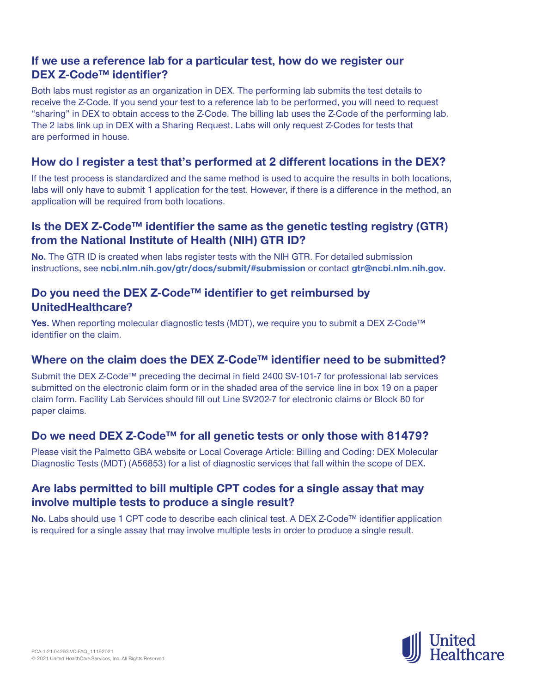## **If we use a reference lab for a particular test, how do we register our DEX Z-Code™ identifier?**

Both labs must register as an organization in DEX. The performing lab submits the test details to receive the Z-Code. If you send your test to a reference lab to be performed, you will need to request "sharing" in DEX to obtain access to the Z-Code. The billing lab uses the Z-Code of the performing lab. The 2 labs link up in DEX with a Sharing Request. Labs will only request Z-Codes for tests that are performed in house.

## **How do I register a test that's performed at 2 different locations in the DEX?**

If the test process is standardized and the same method is used to acquire the results in both locations, labs will only have to submit 1 application for the test. However, if there is a difference in the method, an application will be required from both locations.

# **Is the DEX Z-Code™ identifier the same as the genetic testing registry (GTR) from the National Institute of Health (NIH) GTR ID?**

**No.** The GTR ID is created when labs register tests with the NIH GTR. For detailed submission instructions, see **ncbi.nlm.nih.gov/gtr/docs/submit/#submission** or contact **gtr@ncbi.nlm.nih.gov.**

# **Do you need the DEX Z-Code™ identifier to get reimbursed by UnitedHealthcare?**

**Yes.** When reporting molecular diagnostic tests (MDT), we require you to submit a DEX Z-Code<sup>™</sup> identifier on the claim.

#### **Where on the claim does the DEX Z-Code™ identifier need to be submitted?**

Submit the DEX Z-Code™ preceding the decimal in field 2400 SV-101-7 for professional lab services submitted on the electronic claim form or in the shaded area of the service line in box 19 on a paper claim form. Facility Lab Services should fill out Line SV202-7 for electronic claims or Block 80 for paper claims.

# **Do we need DEX Z-Code™ for all genetic tests or only those with 81479?**

Please visit the Palmetto GBA website or Local Coverage Article: Billing and Coding: DEX Molecular Diagnostic Tests (MDT) (A56853) for a list of diagnostic services that fall within the scope of DEX**.**

# **Are labs permitted to bill multiple CPT codes for a single assay that may involve multiple tests to produce a single result?**

**No.** Labs should use 1 CPT code to describe each clinical test. A DEX Z-Code™ identifier application is required for a single assay that may involve multiple tests in order to produce a single result.